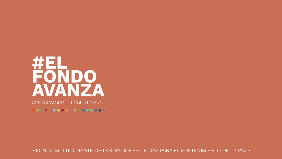# WEL FONDO<br>AVANZA CONVOCATORIA BLENDED FINANCE

00000000000000000

• FONDO MULTIDONANTE DE LAS NACIONES UNIDAS PARA EL SOSTENIMIENTO DE LA PAZ •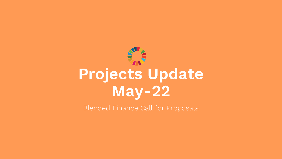

Blended Finance Call for Proposals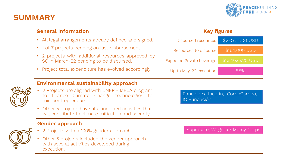

### **SUMMARY**

#### **General Information**

- All legal arrangements already defined and signed.
- 1 of 7 projects pending on last disbursement.
- 2 projects with additional resources approved by SC in March-22 pending to be disbursed.
- Project total expenditure has evolved accordingly.

#### **Key figures**



- 
- **Environmental sustainability approach**
- 2 Projects are aligned with UNEP MEbA program to finance Climate Change technologies to microentrepreneurs.
- Other 5 projects have also included activities that will contribute to climate mitigation and security.

#### **Gender approach**



- 2 Projects with a 100% gender approach.
- Other 5 projects included the gender approach with several activities developed during execution.

Bancóldex, Incofin, CorpoCampo, IC Fundación

Supracafé, Wegrou / Mercy Corps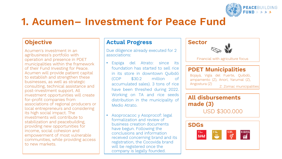

 $\gamma$ 

# **1. Acumen– Investment for Peace Fund**

#### **Objective**

Acumen's investment in an agribusiness's portfolio with operation and presence in PDET municipalities within the framework of their Fund Investing for Peace. Acumen will provide patient capital to establish and strengthen these businesses, as well as strategic consulting, technical assistance and post-investment support. All investment opportunities will create for-profit companies from associations of regional producers or local entrepreneurs and considering its high social impact. The investments will contribute to stabilization and peacebuilding, providing new opportunities for income, social cohesion and empowerment of most vulnerable communities, while providing access to new markets.

#### **Actual Progress**

Due diligence already executed for 2 associations:

- Espiga del Atrato: since its foundation has started to sell rice in its store in downtown Quibdó (COP \$30.2 million of accumulated sales). 3 tons of rice have been threshed during 2022. Working on TA and rice seeds distribution in the municipality of Medio Atrato.
- Asoprocacoc y Asoprocof: legal formalization and review of business creation documents have begun. Following the conclusions and information received concerning brand and its registration, the Cocovida brand will be registered once the company is legally founded.



 $\frac{m}{m}$ 

**DER THE ME** 

ල්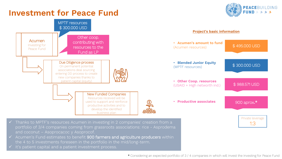### **Investment for Peace Fund**





- ✓ Acumen's Fund estimates to benefit 900 farmers and agriculture producers within the 4 to 5 investments foreseen in the portfolio in the mid/long-term.
- It's patient capital and a patient investment process.

\* Considering an expected portfolio of 3 / 4 companies in which will Invest the Investing for Peace Fund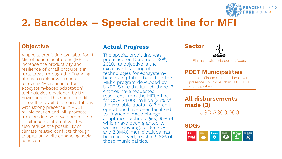

# **2. Bancóldex – Special credit line for MFI**

#### **Objective**

A special credit line available for 11 Microfinance Institutions (MFI) to increase the productivity and resilience of small producers in rural areas, through the financing of sustainable investments following "Microfinance for ecosystem-based adaptation" technologies developed by UN Environment. This special credit line will be available to institutions with strong presence in PDET municipalities and will promote rural productive development and a licit income alternative. It will also reduce the possibility of climate related conflicts through adaptation, while enhancing social cohesion.

#### **Actual Progress**

The special credit line was published on December 30th , 2020. Its objective is the exclusive financing of technologies for ecosystembased adaptation based on the MEbA program developed by UNEP. Since the launch three (3) entities have requested resources from the MEbA line for COP \$4,000 million (35% of the available quota), 818 credit operations have been legalized to finance climate change adaptation technologies, 35% of which have been granted to women. Coverage of 65 PDET and ZOMAC municipalities has been achieved, reaching 36% of these municipalities.



Financial with microcredit focus

#### **PDET Municipalities**

11 microfinance institutions with presence in more than 60 PDET municipalities

#### **All disbursements made (3)** USD \$300.000

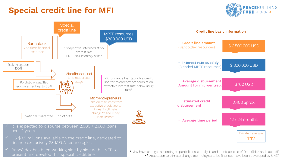# **Special credit line for MFI**





\*\* Adaptation to climate change technologies to be financed have been developed by UNEP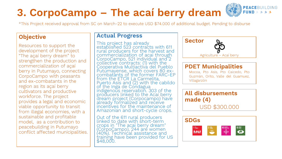#### **3. CorpoCampo – The acaí berry dream THE OWNER OF STREET**

\*This Project received approval from SC on March-22 to execute USD \$74.000 of additional budget. Pending to disburse

#### **Objective**

Resources to support the development of the project "The açaí berry dream" to strengthen the production and commercialization of açaí berry in Putumayo, connecting CorpoCampo with peasants and ex-combatants in the region as its açaí berry cultivators and productive workforce. The project provides a legal and economic viable opportunity to transit from illegal economies, with a sustainable and profitable model, as a contribution to peacebuilding in Putumayo conflict affected municipalities.

#### **Actual Progress**

This project has already established 523 contracts with 611 rural producers for the harvest and commercialization of acai through CorpoCampo, 521 individual and 2 collective contracts: (1) with the Cooperativa Multiactiva del Pueblo Putumayense, which covers 80 excombatants of the former FARC-EP from the ETCR La Carmelita, Puerto Asís and (2) with the cabildo of the Inga de Condagua indigenous reservation. 303 of the producers linked to the Acaí berry dream project (Corpocampo) have already formalized and receive incentives for the maintenance of Amazonian and short-cycle crops.

Out of the 611 rural producers linked to date with short-term crops in "The acaí berry dream" (CorpoCampo), 244 are women (40%). Technićal assistance and training have been provided for US \$48,000.



**PEACE**BUILDING

USD \$300.000

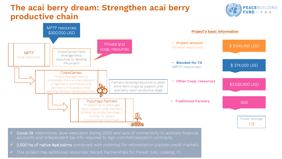# **The acaí berry dream: Strengthen acaí berry productive chain**





- $\checkmark$  Covid-19: restrictions, slow execution during 2020 and lack of connectivity to activate financial accounts and independent tax info required to sign commercialization contracts.
- ✓ 2.000 ha of native **Açaí** palms combined with potential for reforestation (carbon credit market).
- ✓ This project has additional resources: Norad, Partnerships for Forest (UK), Leasing, CI.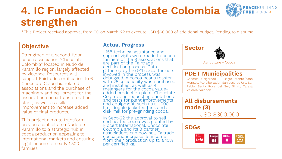# **4. IC Fundación – Chocolate Colombia strengthen**



\*This Project received approval from SC on March-22 to execute USD \$60.000 of additional budget. Pending to disburse

#### **Objective**

Strengthen of a second-floor cocoa association "Chocolate Colombia" located in Nudo de Paramillo region, largely affected by violence. Resources will support Fairtrade certification to 6 Chocolate Colombia related associations and the purchase of machinery and equipment for the association cocoa transformation plant, as well as skills improvement to increase added value of final products.

This project aims to transform previous conflict area Nudo de Paramillo to a strategic hub in cocoa production appealing to international markets and ensuring legal income to nearly 1.500 families.

#### **Actual Progress**

1.158 technical assistance and support visits were made to cocoa farmers of the 8 associations that are part of the Fairtrade certification process. Data gathered by the 911 cocoa farmers involved in the process was debugged. A cocoa beans roaster with 25 kg capacity was purchased and installed, as well as 4 melangers for the cocoa valueadded production plant. Chocolate Colombia is requesting quotations and tests for plant improvements and equipment, such as a 1.000 liter double jacketed tank and a disk mill for pre-grinding cocoa.

In Sept-22 the approval to sell certificated cocoa was granted by Flocert International. Chocolate Colombia and its 8 partner associations can now sell Faitrade cocoa and increase its income from their production up to a 10% per certified kg.



#### **PDET Municipalities**

Cáceres, Chigorodó, El Bagre, Montelíbano, Morales, Pto Libertador, San José de Ure, San Pablo, Santa Rosa del Sur, Simití, Tarazá, Valdivia, Valencia

### **All disbursements made (3)**

USD \$300.000

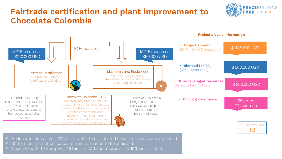# **Fairtrade certification and plant improvement to Chocolate Colombia**





- $\checkmark$  An income increase of 10% per kilo due to certificated cocoa sales was accomplished.
- ✓ 30 tons per year of cocoa paste transformation to be achieved.
- $\checkmark$  Cocoa exports to Europe of 25 tons in 2021 and a forecast of 100 tons in 2023.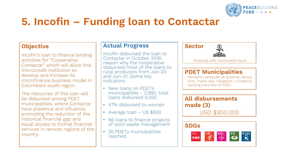

# **5. Incofin – Funding loan to Contactar**

#### **Objective**

Incofin's loan to finance lending activities for "Cooperativa Contactar" which will allow this microcredit institution to develop and increase its microfinance business model in Colombia's south region.

The resources of this loan will be disbursed among PDET municipalities, where Contactar have presence and influence, promoting the reduction of the historical financial gap and equal access to formal financial services in remote regions of the country.

#### **Actual Progress**

Incofin disbursed the loan to Contactar in October 2019, reason why the cooperative disbursed most of the loans to rural producers from Jan-20 and Jun-21. Some key indicators:

- New loans on PDFTs municipalities - 2.995, total loans disbursed 5.050
- 47% disbursed to women
- Average loan US \$930
- 66 loans to finance projects of solid waste management
- 35 PDETs municipalities reached.



```
Financial with microcredit focus
```
#### **PDET Municipalities**

Piendamó, Santander de Quilichao, Mocoa, Orito, Puerto Asis, Villagarzón y Chaparral. reaching more than 20 PDET.

**All disbursements made (3)** USD \$300.000

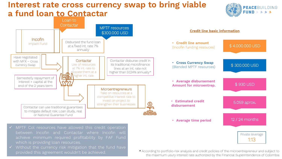### **Interest rate cross currency swap to bring viable a fund loan to Contactar**



Private leverage 1:13



between Incofin and Contactar where Incofin will achieve minimum required profitability by FAF Fund which is providing loan resources.

 $\checkmark$  Without the currency risk mitigation that the fund have provided this agreement wouldn't be achieved.

\* According to portfolio risk analysis and credit policies of the microentrepreneur and subject to the maximum usury interest rate authorized by the Financial Superintendence of Colombia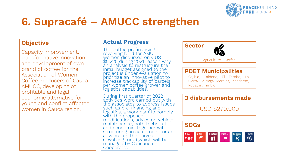

# **6. Supracafé – AMUCC strengthen**

#### **Objective**

Capacity improvement, transformative innovation and development of own brand of coffee for the Association of Women Coffee Producers of Cauca - AMUCC, developing of profitable and legal economic alternative for young and conflict affected women in Cauca region.

#### **Actual Progress**

The coffee prefinancing revolving fund for AMUCC women disbursed only US \$6.225 during 2021 reason why an analysis to restructure the initial budget assigned to the project is under evaluation to prioritize an innovative pilot to increase trackability of parcels per women coffee grower and logistics capabilities.

During first quarter of 2022 activities were carried out with the associates to address issues such as pre-financing and logistics, a work plan to comply with the proposed modifications, advice on vehicle maintenance, both technical and economic, together with structuring an agreement for an advance on the harvest (revolving fund) which will be managed by Cáficauca Cooperative.

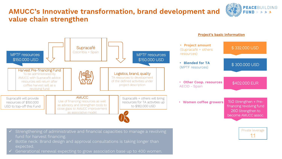### **AMUCC's Innovative transformation, brand development and value chain strengthen**





Generational renewal expecting to grow association base up to 400 women.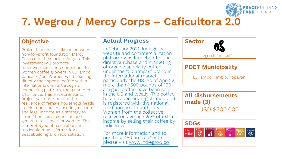

# **7. Wegrou / Mercy Corps – Caficultora 2.0**

#### **Objective**

Project lead by an alliance between a non-for-profit foundation Mercy Corps and the startup Wegrou. This investment will promote empowerment and connections for women coffee growers in El Tambo, Cauca region. Women will be selling directly their special coffee within international clients through a connecting platform, that guarantee a fair price. This entrepreneurial project will contribute to the resilience of female household heads in this municipality ensuring a secure and legal income as a strategy to strengthen social cohesion and generate resilience for women. This is a prototype of a scalable and replicable model for territorial peacebuilding and reconciliation.

#### **Actual Progress**

In February 2021, Indiegrow website and commercialization platform was launched for the direct purchase and marketing of organic specialty coffee under the "50 amigas" brand in the international market, particularly the US. As of Apr-22, more than 1.500 pounds of "50 amigas" coffee have been sold in the US and locally. The coffee has a trademark registration and is registered with the national food and health authority. Women from the collective receive on average 25% of extra income by selling their coffee by Indiegrow.

For more information and to purchase "50 amigas" coffee please visit [www.indiegrow.co](http://www.indiegrow.co/)



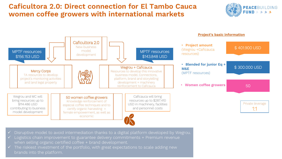### **Caficultora 2.0: Direct connection for El Tambo Cauca women coffee growers with international markets**





- ✓ Disruptive model to avoid intermediation thanks to a digital platform developed by Wegrou.
- ✓ Logistics chain improvement to guarantee delivery commitments + Premium revenue when selling organic certified coffee + brand development.
- $\checkmark$  The riskiest investment of the portfolio, with great expectations to scale adding new brands into the platform.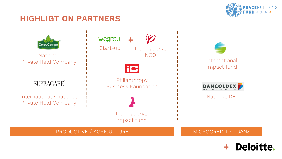

# **HIGHLIGT ON PARTNERS**



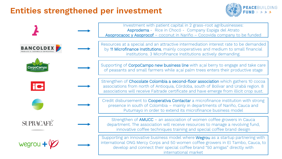# **Entities strengthened per investment**



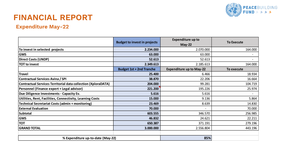

# **FINANCIAL REPORT**

### **Expenditure May-22**

|                                                                      | <b>Budget to invest in projects</b> | <b>Expenditure up to</b><br>$May-22$ | <b>To Execute</b> |
|----------------------------------------------------------------------|-------------------------------------|--------------------------------------|-------------------|
| To invest in selected projects                                       | 2.234.000                           | 2.070.000                            | 164.000           |
| <b>GMS</b>                                                           | 63.000                              | 63.000                               |                   |
| Direct Costs (UNDP)                                                  | 52.613                              | 52.613                               |                   |
| <b>TOT</b> to invest                                                 | 2.349.613                           | 2.185.613                            | 164.000           |
|                                                                      | <b>Budget 1st + 2nd Tranche</b>     | <b>Expenditure up to May-22</b>      | To execute        |
| Travel                                                               | 25.400                              | 6.466                                | 18.934            |
| <b>Contractual Services Avina / SPI</b>                              | 38.870                              | 22.206                               | 16.664            |
| <b>Contractual Services Territorial data collection (XploraDATA)</b> | 204.000                             | 99.281                               | 104.719           |
| Personnel (Finance expert + Legal advisor)                           | 221.200                             | 195.226                              | 25.974            |
| Due Diligence Investments - Capacity Ev.                             | 5.616                               | 5.616                                |                   |
| Utilities, Rent, Facilities, Connectivity, Learning Costs            | 15.000                              | 9.136                                | 5.864             |
| Technical Secretariat Costs (admin + monitoring)                     | 23.469                              | 8.639                                | 14.830            |
| <b>External Evaluation</b>                                           | 70.000                              |                                      | 70.000            |
| Subtotal                                                             | 603.555                             | 346.570                              | 256.985           |
| <b>GMS</b>                                                           | 46.832                              | 24.621                               | 22.211            |
| <b>TOT</b>                                                           | 650.387                             | 371.191                              | 279.196           |
| <b>GRAND TOTAL</b>                                                   | 3.000.000                           | 2.556.804                            | 443.196           |
|                                                                      |                                     |                                      |                   |
| % Expenditure up-to-date (May-22)                                    |                                     | 85%                                  |                   |